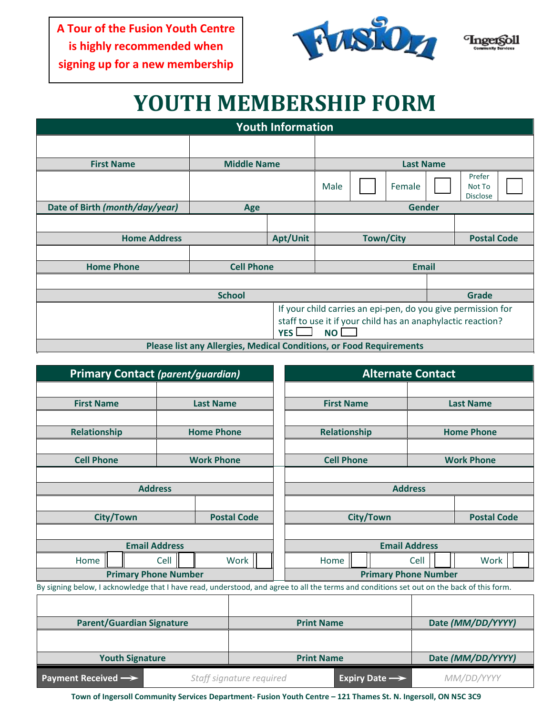**A Tour of the Fusion Youth Centre is highly recommended when signing up for a new membership**





## **YOUTH MEMBERSHIP FORM**

| <b>Youth Information</b>                                                                     |                    |                  |                  |  |        |  |                                     |  |  |  |
|----------------------------------------------------------------------------------------------|--------------------|------------------|------------------|--|--------|--|-------------------------------------|--|--|--|
|                                                                                              |                    |                  |                  |  |        |  |                                     |  |  |  |
| <b>First Name</b>                                                                            | <b>Middle Name</b> | <b>Last Name</b> |                  |  |        |  |                                     |  |  |  |
|                                                                                              |                    |                  | Male             |  | Female |  | Prefer<br>Not To<br><b>Disclose</b> |  |  |  |
| Date of Birth (month/day/year)                                                               | Age                | <b>Gender</b>    |                  |  |        |  |                                     |  |  |  |
|                                                                                              |                    |                  |                  |  |        |  |                                     |  |  |  |
| <b>Home Address</b>                                                                          |                    | Apt/Unit         | <b>Town/City</b> |  |        |  | <b>Postal Code</b>                  |  |  |  |
|                                                                                              |                    |                  |                  |  |        |  |                                     |  |  |  |
| <b>Home Phone</b>                                                                            | <b>Cell Phone</b>  | <b>Email</b>     |                  |  |        |  |                                     |  |  |  |
|                                                                                              |                    |                  |                  |  |        |  |                                     |  |  |  |
| <b>School</b>                                                                                |                    |                  |                  |  |        |  | <b>Grade</b>                        |  |  |  |
| If your child carries an epi-pen, do you give permission for                                 |                    |                  |                  |  |        |  |                                     |  |  |  |
| staff to use it if your child has an anaphylactic reaction?<br>YES <sup>I</sup><br><b>NO</b> |                    |                  |                  |  |        |  |                                     |  |  |  |
| <b>Please list any Allergies, Medical Conditions, or Food Requirements</b>                   |                    |                  |                  |  |        |  |                                     |  |  |  |

| <b>Primary Contact (parent/guardian)</b>                                                                                                  |      |                   | <b>Alternate Contact</b>    |                   |                      |  |                   |                    |  |  |
|-------------------------------------------------------------------------------------------------------------------------------------------|------|-------------------|-----------------------------|-------------------|----------------------|--|-------------------|--------------------|--|--|
|                                                                                                                                           |      |                   |                             |                   |                      |  |                   |                    |  |  |
| <b>First Name</b>                                                                                                                         |      | <b>Last Name</b>  |                             |                   | <b>First Name</b>    |  | <b>Last Name</b>  |                    |  |  |
|                                                                                                                                           |      |                   |                             |                   |                      |  |                   |                    |  |  |
| Relationship                                                                                                                              |      | <b>Home Phone</b> |                             | Relationship      |                      |  | <b>Home Phone</b> |                    |  |  |
|                                                                                                                                           |      |                   |                             |                   |                      |  |                   |                    |  |  |
| <b>Cell Phone</b>                                                                                                                         |      | <b>Work Phone</b> |                             |                   | <b>Cell Phone</b>    |  |                   | <b>Work Phone</b>  |  |  |
|                                                                                                                                           |      |                   |                             |                   |                      |  |                   |                    |  |  |
| <b>Address</b>                                                                                                                            |      |                   |                             | <b>Address</b>    |                      |  |                   |                    |  |  |
|                                                                                                                                           |      |                   |                             |                   |                      |  |                   |                    |  |  |
| <b>City/Town</b>                                                                                                                          |      |                   | <b>Postal Code</b>          |                   | <b>City/Town</b>     |  |                   | <b>Postal Code</b> |  |  |
|                                                                                                                                           |      |                   |                             |                   |                      |  |                   |                    |  |  |
| <b>Email Address</b>                                                                                                                      |      |                   | <b>Email Address</b>        |                   |                      |  |                   |                    |  |  |
| Home                                                                                                                                      | Cell |                   | Work                        |                   | Work<br>Home<br>Cell |  |                   |                    |  |  |
| <b>Primary Phone Number</b>                                                                                                               |      |                   | <b>Primary Phone Number</b> |                   |                      |  |                   |                    |  |  |
| By signing below, I acknowledge that I have read, understood, and agree to all the terms and conditions set out on the back of this form. |      |                   |                             |                   |                      |  |                   |                    |  |  |
|                                                                                                                                           |      |                   |                             |                   |                      |  |                   |                    |  |  |
| <b>Parent/Guardian Signature</b>                                                                                                          |      |                   |                             | <b>Print Name</b> |                      |  | Date (MM/DD/YYYY) |                    |  |  |
|                                                                                                                                           |      |                   |                             |                   |                      |  |                   |                    |  |  |
| <b>Youth Signature</b>                                                                                                                    |      |                   |                             | <b>Print Name</b> |                      |  | Date (MM/DD/YYYY) |                    |  |  |
| Payment Received -><br>Staff signature required<br>Expiry Date $\rightarrow$                                                              |      |                   |                             |                   | MM/DD/YYYY           |  |                   |                    |  |  |

**Town of Ingersoll Community Services Department- Fusion Youth Centre – 121 Thames St. N. Ingersoll, ON N5C 3C9**